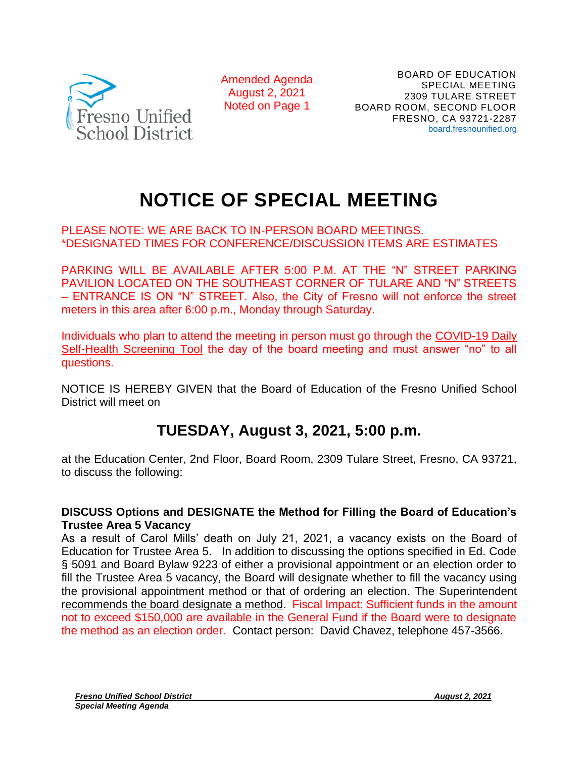

Amended Agenda August 2, 2021 Noted on Page 1

## **NOTICE OF SPECIAL MEETING**

## PLEASE NOTE: WE ARE BACK TO IN-PERSON BOARD MEETINGS. \*DESIGNATED TIMES FOR CONFERENCE/DISCUSSION ITEMS ARE ESTIMATES

PARKING WILL BE AVAILABLE AFTER 5:00 P.M. AT THE "N" STREET PARKING PAVILION LOCATED ON THE SOUTHEAST CORNER OF TULARE AND "N" STREETS – ENTRANCE IS ON "N" STREET. Also, the City of Fresno will not enforce the street meters in this area after 6:00 p.m., Monday through Saturday.

Individuals who plan to attend the meeting in person must go through the COVID-19 Daily [Self-Health Screening Tool](https://health.fresnounified.org/wp-content/uploads/FUSD-Self-Health-Screening-Tool.pdf) the day of the board meeting and must answer "no" to all questions.

NOTICE IS HEREBY GIVEN that the Board of Education of the Fresno Unified School District will meet on

## **TUESDAY, August 3, 2021, 5:00 p.m.**

at the Education Center, 2nd Floor, Board Room, 2309 Tulare Street, Fresno, CA 93721, to discuss the following:

## **DISCUSS Options and DESIGNATE the Method for Filling the Board of Education's Trustee Area 5 Vacancy**

As a result of Carol Mills' death on July 21, 2021, a vacancy exists on the Board of Education for Trustee Area 5. In addition to discussing the options specified in Ed. Code § 5091 and Board Bylaw 9223 of either a provisional appointment or an election order to fill the Trustee Area 5 vacancy, the Board will designate whether to fill the vacancy using the provisional appointment method or that of ordering an election. The Superintendent recommends the board designate a method. Fiscal Impact: Sufficient funds in the amount not to exceed \$150,000 are available in the General Fund if the Board were to designate the method as an election order. Contact person: David Chavez, telephone 457-3566.